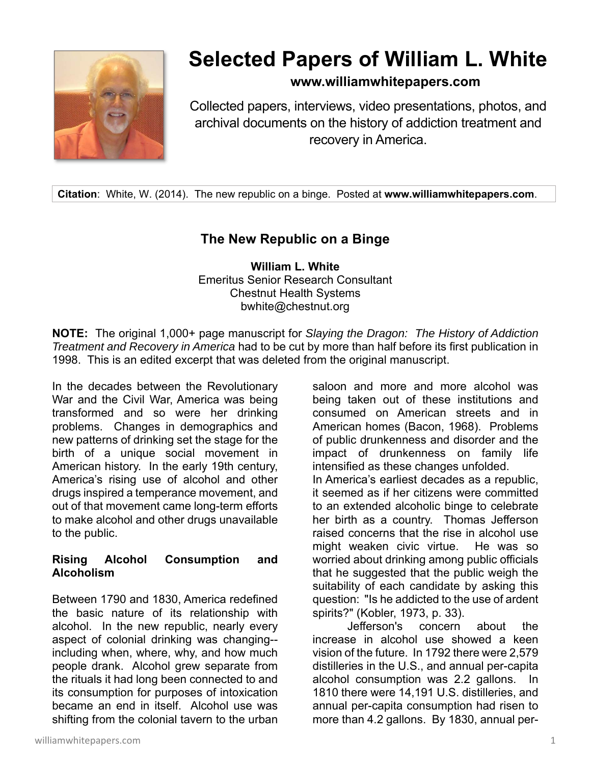

# **Selected Papers of William L. White**

### **www.williamwhitepapers.com**

Collected papers, interviews, video presentations, photos, and archival documents on the history of addiction treatment and recovery in America.

**Citation**: White, W. (2014). The new republic on a binge. Posted at **www.williamwhitepapers.com**.

## **The New Republic on a Binge**

**William L. White**  Emeritus Senior Research Consultant Chestnut Health Systems bwhite@chestnut.org

**NOTE:** The original 1,000+ page manuscript for *Slaying the Dragon: The History of Addiction Treatment and Recovery in America* had to be cut by more than half before its first publication in 1998. This is an edited excerpt that was deleted from the original manuscript.

In the decades between the Revolutionary War and the Civil War, America was being transformed and so were her drinking problems. Changes in demographics and new patterns of drinking set the stage for the birth of a unique social movement in American history. In the early 19th century, America's rising use of alcohol and other drugs inspired a temperance movement, and out of that movement came long-term efforts to make alcohol and other drugs unavailable to the public.

#### **Rising Alcohol Consumption and Alcoholism**

Between 1790 and 1830, America redefined the basic nature of its relationship with alcohol. In the new republic, nearly every aspect of colonial drinking was changing- including when, where, why, and how much people drank. Alcohol grew separate from the rituals it had long been connected to and its consumption for purposes of intoxication became an end in itself. Alcohol use was shifting from the colonial tavern to the urban

being taken out of these institutions and consumed on American streets and in American homes (Bacon, 1968). Problems of public drunkenness and disorder and the impact of drunkenness on family life intensified as these changes unfolded. In America's earliest decades as a republic, it seemed as if her citizens were committed to an extended alcoholic binge to celebrate her birth as a country. Thomas Jefferson raised concerns that the rise in alcohol use might weaken civic virtue. He was so worried about drinking among public officials that he suggested that the public weigh the suitability of each candidate by asking this question: "Is he addicted to the use of ardent spirits?" (Kobler, 1973, p. 33). Jefferson's concern about the

saloon and more and more alcohol was

increase in alcohol use showed a keen vision of the future. In 1792 there were 2,579 distilleries in the U.S., and annual per-capita alcohol consumption was 2.2 gallons. In 1810 there were 14,191 U.S. distilleries, and annual per-capita consumption had risen to more than 4.2 gallons. By 1830, annual per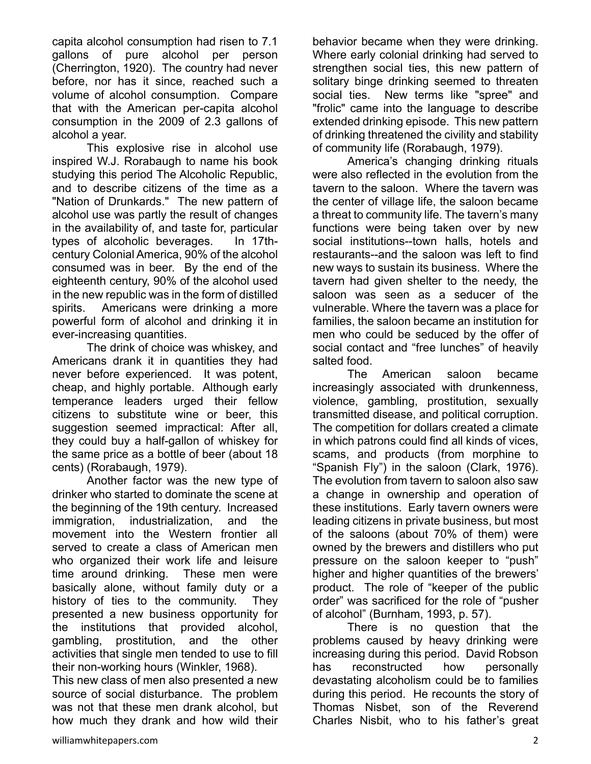capita alcohol consumption had risen to 7.1 gallons of pure alcohol per person (Cherrington, 1920). The country had never before, nor has it since, reached such a volume of alcohol consumption. Compare that with the American per-capita alcohol consumption in the 2009 of 2.3 gallons of alcohol a year.

 This explosive rise in alcohol use inspired W.J. Rorabaugh to name his book studying this period The Alcoholic Republic, and to describe citizens of the time as a "Nation of Drunkards." The new pattern of alcohol use was partly the result of changes in the availability of, and taste for, particular types of alcoholic beverages. In 17thcentury Colonial America, 90% of the alcohol consumed was in beer. By the end of the eighteenth century, 90% of the alcohol used in the new republic was in the form of distilled spirits. Americans were drinking a more powerful form of alcohol and drinking it in ever-increasing quantities.

The drink of choice was whiskey, and Americans drank it in quantities they had never before experienced. It was potent, cheap, and highly portable. Although early temperance leaders urged their fellow citizens to substitute wine or beer, this suggestion seemed impractical: After all, they could buy a half-gallon of whiskey for the same price as a bottle of beer (about 18 cents) (Rorabaugh, 1979).

Another factor was the new type of drinker who started to dominate the scene at the beginning of the 19th century. Increased immigration, industrialization, and the movement into the Western frontier all served to create a class of American men who organized their work life and leisure time around drinking. These men were basically alone, without family duty or a history of ties to the community. They presented a new business opportunity for the institutions that provided alcohol, gambling, prostitution, and the other activities that single men tended to use to fill their non-working hours (Winkler, 1968).

This new class of men also presented a new source of social disturbance. The problem was not that these men drank alcohol, but how much they drank and how wild their

behavior became when they were drinking. Where early colonial drinking had served to strengthen social ties, this new pattern of solitary binge drinking seemed to threaten social ties. New terms like "spree" and "frolic" came into the language to describe extended drinking episode. This new pattern of drinking threatened the civility and stability of community life (Rorabaugh, 1979).

 America's changing drinking rituals were also reflected in the evolution from the tavern to the saloon. Where the tavern was the center of village life, the saloon became a threat to community life. The tavern's many functions were being taken over by new social institutions--town halls, hotels and restaurants--and the saloon was left to find new ways to sustain its business. Where the tavern had given shelter to the needy, the saloon was seen as a seducer of the vulnerable. Where the tavern was a place for families, the saloon became an institution for men who could be seduced by the offer of social contact and "free lunches" of heavily salted food.

The American saloon became increasingly associated with drunkenness, violence, gambling, prostitution, sexually transmitted disease, and political corruption. The competition for dollars created a climate in which patrons could find all kinds of vices, scams, and products (from morphine to "Spanish Fly") in the saloon (Clark, 1976). The evolution from tavern to saloon also saw a change in ownership and operation of these institutions. Early tavern owners were leading citizens in private business, but most of the saloons (about 70% of them) were owned by the brewers and distillers who put pressure on the saloon keeper to "push" higher and higher quantities of the brewers' product. The role of "keeper of the public order" was sacrificed for the role of "pusher of alcohol" (Burnham, 1993, p. 57).

There is no question that the problems caused by heavy drinking were increasing during this period. David Robson has reconstructed how personally devastating alcoholism could be to families during this period. He recounts the story of Thomas Nisbet, son of the Reverend Charles Nisbit, who to his father's great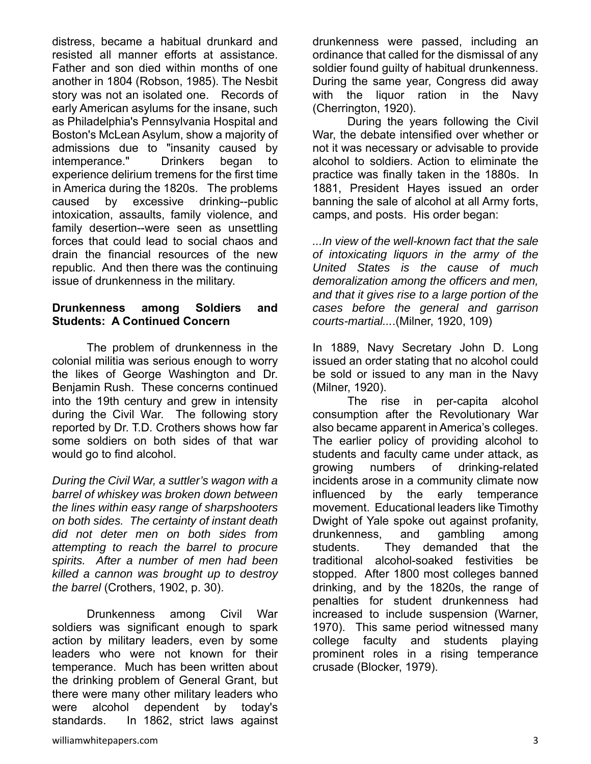distress, became a habitual drunkard and resisted all manner efforts at assistance. Father and son died within months of one another in 1804 (Robson, 1985). The Nesbit story was not an isolated one. Records of early American asylums for the insane, such as Philadelphia's Pennsylvania Hospital and Boston's McLean Asylum, show a majority of admissions due to "insanity caused by intemperance." Drinkers began to experience delirium tremens for the first time in America during the 1820s. The problems caused by excessive drinking--public intoxication, assaults, family violence, and family desertion--were seen as unsettling forces that could lead to social chaos and drain the financial resources of the new republic. And then there was the continuing issue of drunkenness in the military.

#### **Drunkenness among Soldiers and Students: A Continued Concern**

The problem of drunkenness in the colonial militia was serious enough to worry the likes of George Washington and Dr. Benjamin Rush. These concerns continued into the 19th century and grew in intensity during the Civil War. The following story reported by Dr. T.D. Crothers shows how far some soldiers on both sides of that war would go to find alcohol.

*During the Civil War, a suttler's wagon with a barrel of whiskey was broken down between the lines within easy range of sharpshooters on both sides. The certainty of instant death did not deter men on both sides from attempting to reach the barrel to procure spirits. After a number of men had been killed a cannon was brought up to destroy the barrel* (Crothers, 1902, p. 30).

Drunkenness among Civil War soldiers was significant enough to spark action by military leaders, even by some leaders who were not known for their temperance. Much has been written about the drinking problem of General Grant, but there were many other military leaders who were alcohol dependent by today's standards. In 1862, strict laws against

drunkenness were passed, including an ordinance that called for the dismissal of any soldier found guilty of habitual drunkenness. During the same year, Congress did away with the liquor ration in the Navy (Cherrington, 1920).

During the years following the Civil War, the debate intensified over whether or not it was necessary or advisable to provide alcohol to soldiers. Action to eliminate the practice was finally taken in the 1880s. In 1881, President Hayes issued an order banning the sale of alcohol at all Army forts, camps, and posts. His order began:

*...In view of the well-known fact that the sale of intoxicating liquors in the army of the United States is the cause of much demoralization among the officers and men, and that it gives rise to a large portion of the cases before the general and garrison courts-martial...*.(Milner, 1920, 109)

In 1889, Navy Secretary John D. Long issued an order stating that no alcohol could be sold or issued to any man in the Navy (Milner, 1920).

 The rise in per-capita alcohol consumption after the Revolutionary War also became apparent in America's colleges. The earlier policy of providing alcohol to students and faculty came under attack, as growing numbers of drinking-related incidents arose in a community climate now influenced by the early temperance movement. Educational leaders like Timothy Dwight of Yale spoke out against profanity, drunkenness, and gambling among students. They demanded that the traditional alcohol-soaked festivities be stopped. After 1800 most colleges banned drinking, and by the 1820s, the range of penalties for student drunkenness had increased to include suspension (Warner, 1970). This same period witnessed many college faculty and students playing prominent roles in a rising temperance crusade (Blocker, 1979).